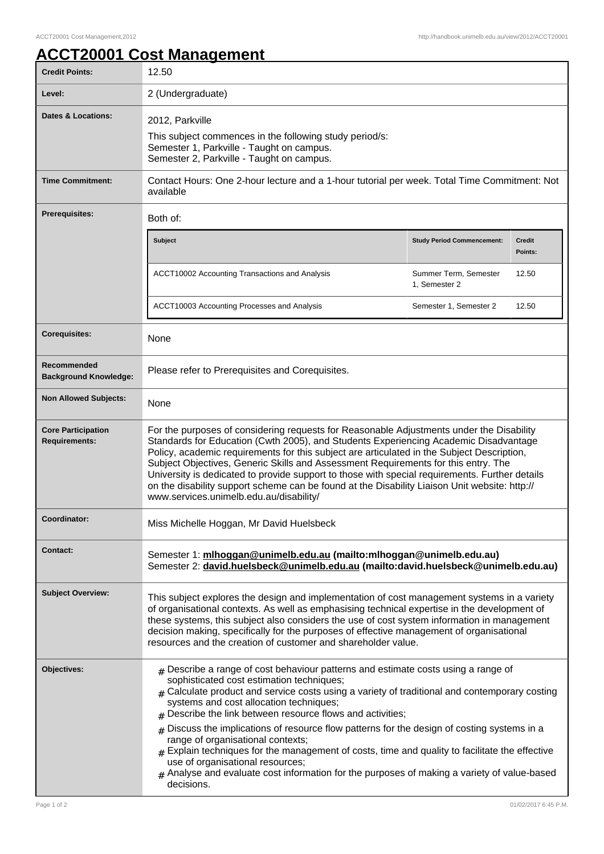## **ACCT20001 Cost Management**

| <b>Credit Points:</b>                             | 12.50                                                                                                                                                                                                                                                                                                                                                                                                                                                                                                                                                                                                                                                                                                                                           |                                        |                   |
|---------------------------------------------------|-------------------------------------------------------------------------------------------------------------------------------------------------------------------------------------------------------------------------------------------------------------------------------------------------------------------------------------------------------------------------------------------------------------------------------------------------------------------------------------------------------------------------------------------------------------------------------------------------------------------------------------------------------------------------------------------------------------------------------------------------|----------------------------------------|-------------------|
| Level:                                            | 2 (Undergraduate)                                                                                                                                                                                                                                                                                                                                                                                                                                                                                                                                                                                                                                                                                                                               |                                        |                   |
| Dates & Locations:                                | 2012, Parkville<br>This subject commences in the following study period/s:<br>Semester 1, Parkville - Taught on campus.<br>Semester 2, Parkville - Taught on campus.                                                                                                                                                                                                                                                                                                                                                                                                                                                                                                                                                                            |                                        |                   |
| <b>Time Commitment:</b>                           | Contact Hours: One 2-hour lecture and a 1-hour tutorial per week. Total Time Commitment: Not<br>available                                                                                                                                                                                                                                                                                                                                                                                                                                                                                                                                                                                                                                       |                                        |                   |
| <b>Prerequisites:</b>                             | Both of:                                                                                                                                                                                                                                                                                                                                                                                                                                                                                                                                                                                                                                                                                                                                        |                                        |                   |
|                                                   | <b>Subject</b>                                                                                                                                                                                                                                                                                                                                                                                                                                                                                                                                                                                                                                                                                                                                  | <b>Study Period Commencement:</b>      | Credit<br>Points: |
|                                                   | ACCT10002 Accounting Transactions and Analysis                                                                                                                                                                                                                                                                                                                                                                                                                                                                                                                                                                                                                                                                                                  | Summer Term, Semester<br>1, Semester 2 | 12.50             |
|                                                   | ACCT10003 Accounting Processes and Analysis                                                                                                                                                                                                                                                                                                                                                                                                                                                                                                                                                                                                                                                                                                     | Semester 1, Semester 2                 | 12.50             |
| <b>Corequisites:</b>                              | <b>None</b>                                                                                                                                                                                                                                                                                                                                                                                                                                                                                                                                                                                                                                                                                                                                     |                                        |                   |
| Recommended<br><b>Background Knowledge:</b>       | Please refer to Prerequisites and Corequisites.                                                                                                                                                                                                                                                                                                                                                                                                                                                                                                                                                                                                                                                                                                 |                                        |                   |
| <b>Non Allowed Subjects:</b>                      | None                                                                                                                                                                                                                                                                                                                                                                                                                                                                                                                                                                                                                                                                                                                                            |                                        |                   |
| <b>Core Participation</b><br><b>Requirements:</b> | For the purposes of considering requests for Reasonable Adjustments under the Disability<br>Standards for Education (Cwth 2005), and Students Experiencing Academic Disadvantage<br>Policy, academic requirements for this subject are articulated in the Subject Description,<br>Subject Objectives, Generic Skills and Assessment Requirements for this entry. The<br>University is dedicated to provide support to those with special requirements. Further details<br>on the disability support scheme can be found at the Disability Liaison Unit website: http://<br>www.services.unimelb.edu.au/disability/                                                                                                                              |                                        |                   |
| Coordinator:                                      | Miss Michelle Hoggan, Mr David Huelsbeck                                                                                                                                                                                                                                                                                                                                                                                                                                                                                                                                                                                                                                                                                                        |                                        |                   |
| <b>Contact:</b>                                   | Semester 1: mlhoggan@unimelb.edu.au (mailto:mlhoggan@unimelb.edu.au)<br>Semester 2: david.huelsbeck@unimelb.edu.au (mailto:david.huelsbeck@unimelb.edu.au)                                                                                                                                                                                                                                                                                                                                                                                                                                                                                                                                                                                      |                                        |                   |
| <b>Subject Overview:</b>                          | This subject explores the design and implementation of cost management systems in a variety<br>of organisational contexts. As well as emphasising technical expertise in the development of<br>these systems, this subject also considers the use of cost system information in management<br>decision making, specifically for the purposes of effective management of organisational<br>resources and the creation of customer and shareholder value.                                                                                                                                                                                                                                                                                         |                                        |                   |
| Objectives:                                       | $#$ Describe a range of cost behaviour patterns and estimate costs using a range of<br>sophisticated cost estimation techniques;<br>$_{\#}$ Calculate product and service costs using a variety of traditional and contemporary costing<br>systems and cost allocation techniques;<br>$#$ Describe the link between resource flows and activities;<br>$#$ Discuss the implications of resource flow patterns for the design of costing systems in a<br>range of organisational contexts;<br>$#$ Explain techniques for the management of costs, time and quality to facilitate the effective<br>use of organisational resources;<br>$#$ Analyse and evaluate cost information for the purposes of making a variety of value-based<br>decisions. |                                        |                   |